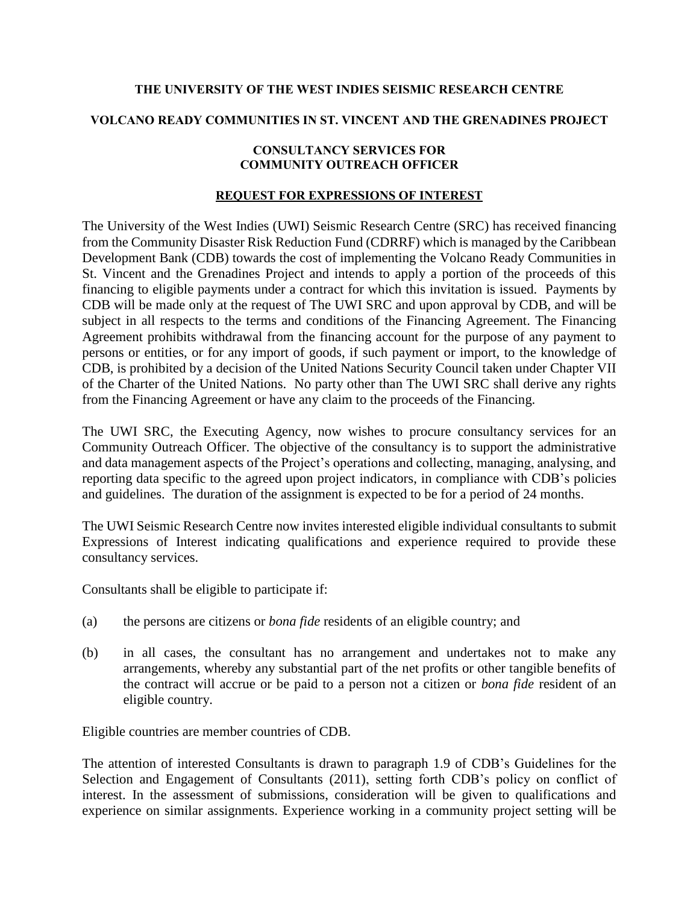## **THE UNIVERSITY OF THE WEST INDIES SEISMIC RESEARCH CENTRE**

### **VOLCANO READY COMMUNITIES IN ST. VINCENT AND THE GRENADINES PROJECT**

### **CONSULTANCY SERVICES FOR COMMUNITY OUTREACH OFFICER**

## **REQUEST FOR EXPRESSIONS OF INTEREST**

The University of the West Indies (UWI) Seismic Research Centre (SRC) has received financing from the Community Disaster Risk Reduction Fund (CDRRF) which is managed by the Caribbean Development Bank (CDB) towards the cost of implementing the Volcano Ready Communities in St. Vincent and the Grenadines Project and intends to apply a portion of the proceeds of this financing to eligible payments under a contract for which this invitation is issued. Payments by CDB will be made only at the request of The UWI SRC and upon approval by CDB, and will be subject in all respects to the terms and conditions of the Financing Agreement. The Financing Agreement prohibits withdrawal from the financing account for the purpose of any payment to persons or entities, or for any import of goods, if such payment or import, to the knowledge of CDB, is prohibited by a decision of the United Nations Security Council taken under Chapter VII of the Charter of the United Nations. No party other than The UWI SRC shall derive any rights from the Financing Agreement or have any claim to the proceeds of the Financing.

The UWI SRC, the Executing Agency, now wishes to procure consultancy services for an Community Outreach Officer. The objective of the consultancy is to support the administrative and data management aspects of the Project's operations and collecting, managing, analysing, and reporting data specific to the agreed upon project indicators, in compliance with CDB's policies and guidelines. The duration of the assignment is expected to be for a period of 24 months.

The UWI Seismic Research Centre now invites interested eligible individual consultants to submit Expressions of Interest indicating qualifications and experience required to provide these consultancy services.

Consultants shall be eligible to participate if:

- (a) the persons are citizens or *bona fide* residents of an eligible country; and
- (b) in all cases, the consultant has no arrangement and undertakes not to make any arrangements, whereby any substantial part of the net profits or other tangible benefits of the contract will accrue or be paid to a person not a citizen or *bona fide* resident of an eligible country.

Eligible countries are member countries of CDB.

The attention of interested Consultants is drawn to paragraph 1.9 of [CDB's Guidelines for the](http://www.caribank.org/uploads/2015/03/Guidelines_Selection-_And_Engagement_of_Consultants.pdf)  [Selection and Engagement of Consultants \(2011\),](http://www.caribank.org/uploads/2015/03/Guidelines_Selection-_And_Engagement_of_Consultants.pdf) setting forth CDB's policy on conflict of interest. In the assessment of submissions, consideration will be given to qualifications and experience on similar assignments. Experience working in a community project setting will be